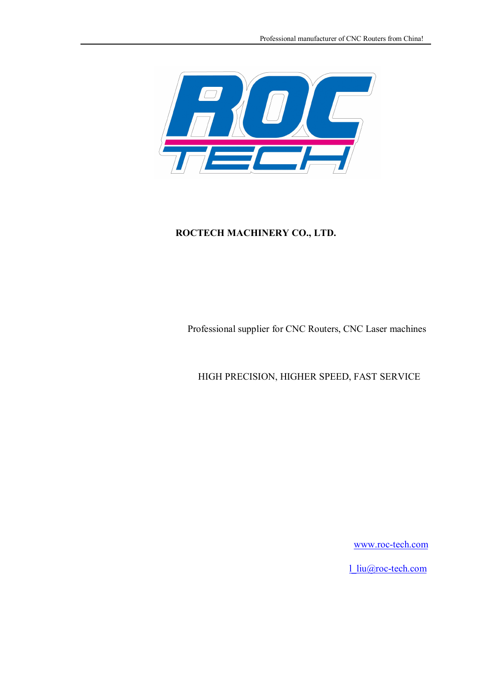

Professional supplier for CNC Routers, CNC Laser machines

HIGH PRECISION, HIGHER SPEED, FAST SERVICE

www.roc-tech.com

l\_liu@roc-tech.com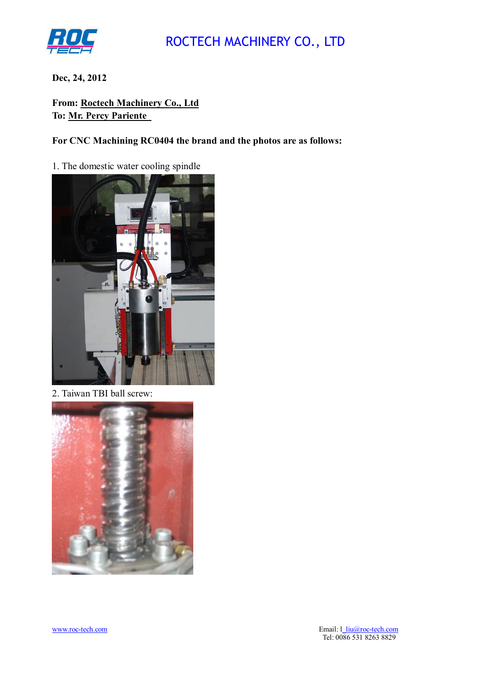

**Dec, 24, 2012**

**From: Roctech Machinery Co., Ltd To: Mr. Percy Pariente** 

**For CNC Machining RC0404 the brand and the photos are as follows:**

1. The domestic water cooling spindle



2. Taiwan TBI ball screw:

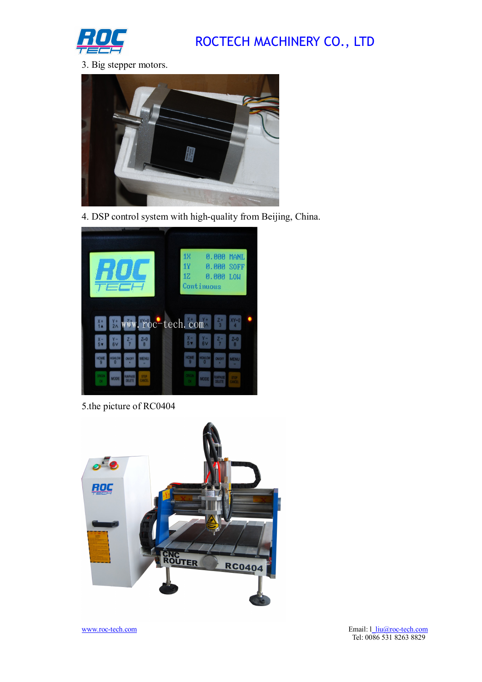

3. Big stepper motors.



4. DSP control system with high-quality from Beijing, China.



5.the picture of RC0404

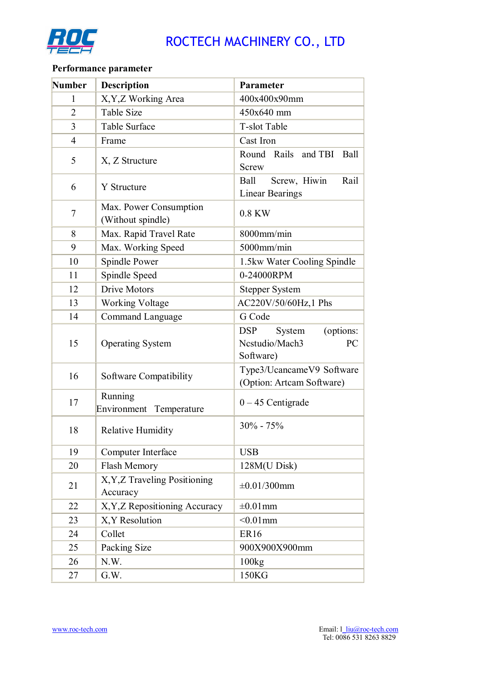

## **Performance parameter**

| <b>Number</b>  | <b>Description</b>                          | Parameter                                                              |
|----------------|---------------------------------------------|------------------------------------------------------------------------|
| $\mathbf{1}$   | X, Y, Z Working Area                        | 400x400x90mm                                                           |
| $\overline{2}$ | <b>Table Size</b>                           | 450x640 mm                                                             |
| 3              | <b>Table Surface</b>                        | T-slot Table                                                           |
| 4              | Frame                                       | Cast Iron                                                              |
| 5              | X, Z Structure                              | Round Rails and TBI<br>Ball<br><b>Screw</b>                            |
| 6              | Y Structure                                 | Screw, Hiwin<br>Rail<br>Ball<br><b>Linear Bearings</b>                 |
| 7              | Max. Power Consumption<br>(Without spindle) | 0.8 KW                                                                 |
| 8              | Max. Rapid Travel Rate                      | 8000mm/min                                                             |
| 9              | Max. Working Speed                          | $5000$ mm/min                                                          |
| 10             | Spindle Power                               | 1.5kw Water Cooling Spindle                                            |
| 11             | Spindle Speed                               | 0-24000RPM                                                             |
| 12             | <b>Drive Motors</b>                         | <b>Stepper System</b>                                                  |
| 13             | <b>Working Voltage</b>                      | AC220V/50/60Hz,1 Phs                                                   |
| 14             | <b>Command Language</b>                     | G Code                                                                 |
| 15             | <b>Operating System</b>                     | <b>DSP</b><br>System<br>(options:<br>Nestudio/Mach3<br>PC<br>Software) |
| 16             | Software Compatibility                      | Type3/UcancameV9 Software<br>(Option: Artcam Software)                 |
| 17             | Running<br>Environment Temperature          | $0 - 45$ Centigrade                                                    |
| 18             | <b>Relative Humidity</b>                    | $30\% - 75\%$                                                          |
| 19             | Computer Interface                          | <b>USB</b>                                                             |
| 20             | Flash Memory                                | 128M(U Disk)                                                           |
| 21             | X, Y, Z Traveling Positioning<br>Accuracy   | $\pm 0.01/300$ mm                                                      |
| 22             | X, Y, Z Repositioning Accuracy              | $\pm 0.01$ mm                                                          |
| 23             | X, Y Resolution                             | $< 0.01$ mm                                                            |
| 24             | Collet                                      | <b>ER16</b>                                                            |
| 25             | Packing Size                                | 900X900X900mm                                                          |
| 26             | N.W.                                        | 100kg                                                                  |
| 27             | G.W.                                        | 150KG                                                                  |